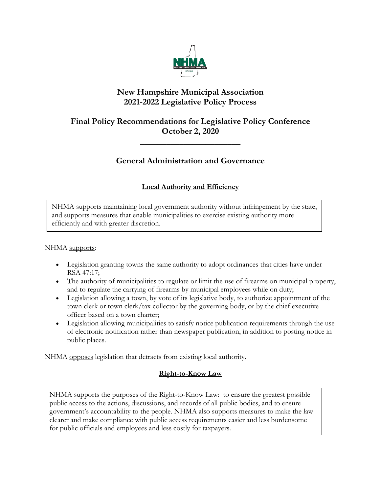

# **New Hampshire Municipal Association 2021-2022 Legislative Policy Process**

# **Final Policy Recommendations for Legislative Policy Conference October 2, 2020**

**\_\_\_\_\_\_\_\_\_\_\_\_\_\_\_\_\_\_\_\_\_\_\_**

# **General Administration and Governance**

# **Local Authority and Efficiency**

NHMA supports maintaining local government authority without infringement by the state, and supports measures that enable municipalities to exercise existing authority more efficiently and with greater discretion.

# NHMA supports:

- Legislation granting towns the same authority to adopt ordinances that cities have under RSA 47:17;
- The authority of municipalities to regulate or limit the use of firearms on municipal property, and to regulate the carrying of firearms by municipal employees while on duty;
- Legislation allowing a town, by vote of its legislative body, to authorize appointment of the town clerk or town clerk/tax collector by the governing body, or by the chief executive officer based on a town charter;
- Legislation allowing municipalities to satisfy notice publication requirements through the use of electronic notification rather than newspaper publication, in addition to posting notice in public places.

NHMA opposes legislation that detracts from existing local authority.

# **Right-to-Know Law**

NHMA supports the purposes of the Right-to-Know Law: to ensure the greatest possible public access to the actions, discussions, and records of all public bodies, and to ensure government's accountability to the people. NHMA also supports measures to make the law clearer and make compliance with public access requirements easier and less burdensome for public officials and employees and less costly for taxpayers.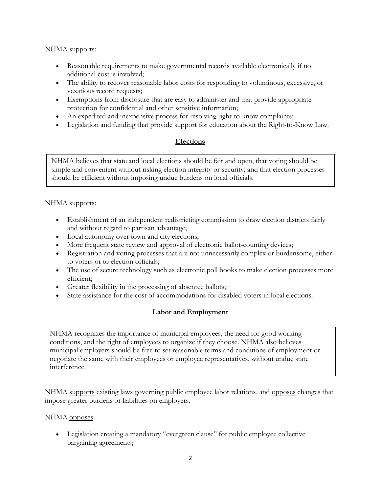## NHMA supports:

- Reasonable requirements to make governmental records available electronically if no additional cost is involved;
- The ability to recover reasonable labor costs for responding to voluminous, excessive, or vexatious record requests;
- Exemptions from disclosure that are easy to administer and that provide appropriate protection for confidential and other sensitive information;
- An expedited and inexpensive process for resolving right-to-know complaints;
- Legislation and funding that provide support for education about the Right-to-Know Law.

## **Elections**

NHMA believes that state and local elections should be fair and open, that voting should be simple and convenient without risking election integrity or security, and that election processes should be efficient without imposing undue burdens on local officials.

## NHMA supports:

- Establishment of an independent redistricting commission to draw election districts fairly and without regard to partisan advantage;
- Local autonomy over town and city elections;
- More frequent state review and approval of electronic ballot-counting devices;
- Registration and voting processes that are not unnecessarily complex or burdensome, either to voters or to election officials;
- The use of secure technology such as electronic poll books to make election processes more efficient;
- Greater flexibility in the processing of absentee ballots;
- State assistance for the cost of accommodations for disabled voters in local elections.

# **Labor and Employment**

NHMA recognizes the importance of municipal employees, the need for good working conditions, and the right of employees to organize if they choose. NHMA also believes municipal employers should be free to set reasonable terms and conditions of employment or negotiate the same with their employees or employee representatives, without undue state interference.

NHMA supports existing laws governing public employee labor relations, and opposes changes that impose greater burdens or liabilities on employers.

## NHMA opposes:

• Legislation creating a mandatory "evergreen clause" for public employee collective bargaining agreements;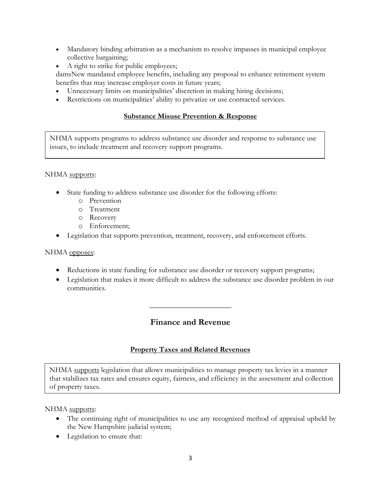- Mandatory binding arbitration as a mechanism to resolve impasses in municipal employee collective bargaining;
- A right to strike for public employees;

damsNew mandated employee benefits, including any proposal to enhance retirement system benefits that may increase employer costs in future years;

- Unnecessary limits on municipalities' discretion in making hiring decisions;
- Restrictions on municipalities' ability to privatize or use contracted services.

# **Substance Misuse Prevention & Response**

NHMA supports programs to address substance use disorder and response to substance use issues, to include treatment and recovery support programs.

## NHMA supports:

- State funding to address substance use disorder for the following efforts:
	- o Prevention
	- o Treatment
	- o Recovery
	- o Enforcement;
- Legislation that supports prevention, treatment, recovery, and enforcement efforts.

## NHMA opposes:

- Reductions in state funding for substance use disorder or recovery support programs;
- Legislation that makes it more difficult to address the substance use disorder problem in our communities.

# **Finance and Revenue**

 $\overline{\phantom{a}}$  , where  $\overline{\phantom{a}}$  , where  $\overline{\phantom{a}}$ 

## **Property Taxes and Related Revenues**

NHMA supports legislation that allows municipalities to manage property tax levies in a manner that stabilizes tax rates and ensures equity, fairness, and efficiency in the assessment and collection of property taxes.

- The continuing right of municipalities to use any recognized method of appraisal upheld by the New Hampshire judicial system;
- Legislation to ensure that: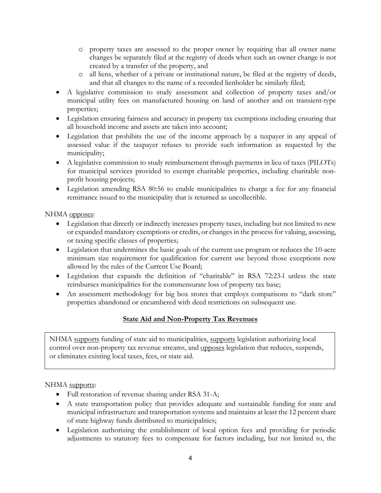- o property taxes are assessed to the proper owner by requiring that all owner name changes be separately filed at the registry of deeds when such an owner change is not created by a transfer of the property, and
- o all liens, whether of a private or institutional nature, be filed at the registry of deeds, and that all changes to the name of a recorded lienholder be similarly filed;
- A legislative commission to study assessment and collection of property taxes and/or municipal utility fees on manufactured housing on land of another and on transient-type properties;
- Legislation ensuring fairness and accuracy in property tax exemptions including ensuring that all household income and assets are taken into account;
- Legislation that prohibits the use of the income approach by a taxpayer in any appeal of assessed value if the taxpayer refuses to provide such information as requested by the municipality;
- A legislative commission to study reimbursement through payments in lieu of taxes (PILOTs) for municipal services provided to exempt charitable properties, including charitable nonprofit housing projects;
- Legislation amending RSA 80:56 to enable municipalities to charge a fee for any financial remittance issued to the municipality that is returned as uncollectible.

# NHMA opposes:

- Legislation that directly or indirectly increases property taxes, including but not limited to new or expanded mandatory exemptions or credits, or changes in the process for valuing, assessing, or taxing specific classes of properties;
- Legislation that undermines the basic goals of the current use program or reduces the 10-acre minimum size requirement for qualification for current use beyond those exceptions now allowed by the rules of the Current Use Board;
- Legislation that expands the definition of "charitable" in RSA 72:23-l unless the state reimburses municipalities for the commensurate loss of property tax base;
- An assessment methodology for big box stores that employs comparisons to "dark store" properties abandoned or encumbered with deed restrictions on subsequent use.

# **State Aid and Non-Property Tax Revenues**

NHMA supports funding of state aid to municipalities, supports legislation authorizing local control over non-property tax revenue streams, and opposes legislation that reduces, suspends, or eliminates existing local taxes, fees, or state aid.

- Full restoration of revenue sharing under RSA 31-A;
- A state transportation policy that provides adequate and sustainable funding for state and municipal infrastructure and transportation systems and maintains at least the 12 percent share of state highway funds distributed to municipalities;
- Legislation authorizing the establishment of local option fees and providing for periodic adjustments to statutory fees to compensate for factors including, but not limited to, the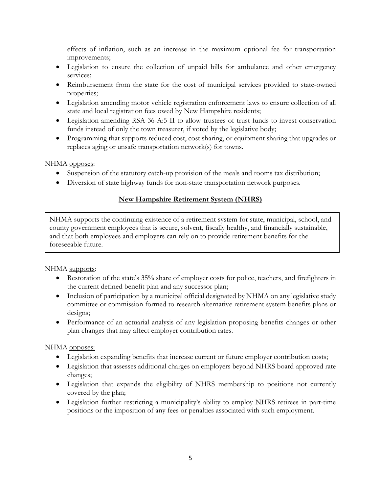effects of inflation, such as an increase in the maximum optional fee for transportation improvements;

- Legislation to ensure the collection of unpaid bills for ambulance and other emergency services;
- Reimbursement from the state for the cost of municipal services provided to state-owned properties;
- Legislation amending motor vehicle registration enforcement laws to ensure collection of all state and local registration fees owed by New Hampshire residents;
- Legislation amending RSA 36-A:5 II to allow trustees of trust funds to invest conservation funds instead of only the town treasurer, if voted by the legislative body;
- Programming that supports reduced cost, cost sharing, or equipment sharing that upgrades or replaces aging or unsafe transportation network(s) for towns.

NHMA opposes:

- Suspension of the statutory catch-up provision of the meals and rooms tax distribution;
- Diversion of state highway funds for non-state transportation network purposes.

# **New Hampshire Retirement System (NHRS)**

NHMA supports the continuing existence of a retirement system for state, municipal, school, and county government employees that is secure, solvent, fiscally healthy, and financially sustainable, and that both employees and employers can rely on to provide retirement benefits for the foreseeable future.

NHMA supports:

- Restoration of the state's 35% share of employer costs for police, teachers, and firefighters in the current defined benefit plan and any successor plan;
- Inclusion of participation by a municipal official designated by NHMA on any legislative study committee or commission formed to research alternative retirement system benefits plans or designs;
- Performance of an actuarial analysis of any legislation proposing benefits changes or other plan changes that may affect employer contribution rates.

NHMA opposes:

- Legislation expanding benefits that increase current or future employer contribution costs;
- Legislation that assesses additional charges on employers beyond NHRS board-approved rate changes;
- Legislation that expands the eligibility of NHRS membership to positions not currently covered by the plan;
- Legislation further restricting a municipality's ability to employ NHRS retirees in part-time positions or the imposition of any fees or penalties associated with such employment.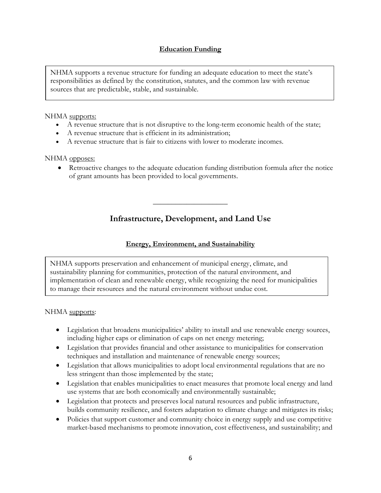# **Education Funding**

NHMA supports a revenue structure for funding an adequate education to meet the state's responsibilities as defined by the constitution, statutes, and the common law with revenue sources that are predictable, stable, and sustainable.

#### NHMA supports:

- A revenue structure that is not disruptive to the long-term economic health of the state;
- A revenue structure that is efficient in its administration;
- A revenue structure that is fair to citizens with lower to moderate incomes.

#### NHMA opposes:

• Retroactive changes to the adequate education funding distribution formula after the notice of grant amounts has been provided to local governments.

# **Infrastructure, Development, and Land Use**

**\_\_\_\_\_\_\_\_\_\_\_\_\_\_\_\_\_\_\_\_**

## **Energy, Environment, and Sustainability**

NHMA supports preservation and enhancement of municipal energy, climate, and sustainability planning for communities, protection of the natural environment, and implementation of clean and renewable energy, while recognizing the need for municipalities to manage their resources and the natural environment without undue cost.

- Legislation that broadens municipalities' ability to install and use renewable energy sources, including higher caps or elimination of caps on net energy metering;
- Legislation that provides financial and other assistance to municipalities for conservation techniques and installation and maintenance of renewable energy sources;
- Legislation that allows municipalities to adopt local environmental regulations that are no less stringent than those implemented by the state;
- Legislation that enables municipalities to enact measures that promote local energy and land use systems that are both economically and environmentally sustainable;
- Legislation that protects and preserves local natural resources and public infrastructure, builds community resilience, and fosters adaptation to climate change and mitigates its risks;
- Policies that support customer and community choice in energy supply and use competitive market-based mechanisms to promote innovation, cost effectiveness, and sustainability; and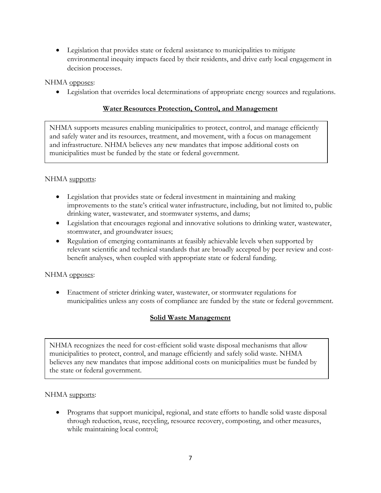• Legislation that provides state or federal assistance to municipalities to mitigate environmental inequity impacts faced by their residents, and drive early local engagement in decision processes.

NHMA opposes:

• Legislation that overrides local determinations of appropriate energy sources and regulations.

# **Water Resources Protection, Control, and Management**

NHMA supports measures enabling municipalities to protect, control, and manage efficiently and safely water and its resources, treatment, and movement, with a focus on management and infrastructure. NHMA believes any new mandates that impose additional costs on municipalities must be funded by the state or federal government.

## NHMA supports:

- Legislation that provides state or federal investment in maintaining and making improvements to the state's critical water infrastructure, including, but not limited to, public drinking water, wastewater, and stormwater systems, and dams;
- Legislation that encourages regional and innovative solutions to drinking water, wastewater, stormwater, and groundwater issues;
- Regulation of emerging contaminants at feasibly achievable levels when supported by relevant scientific and technical standards that are broadly accepted by peer review and costbenefit analyses, when coupled with appropriate state or federal funding.

## NHMA opposes:

• Enactment of stricter drinking water, wastewater, or stormwater regulations for municipalities unless any costs of compliance are funded by the state or federal government.

# **Solid Waste Management**

NHMA recognizes the need for cost-efficient solid waste disposal mechanisms that allow municipalities to protect, control, and manage efficiently and safely solid waste. NHMA believes any new mandates that impose additional costs on municipalities must be funded by the state or federal government.

## NHMA supports:

• Programs that support municipal, regional, and state efforts to handle solid waste disposal through reduction, reuse, recycling, resource recovery, composting, and other measures, while maintaining local control;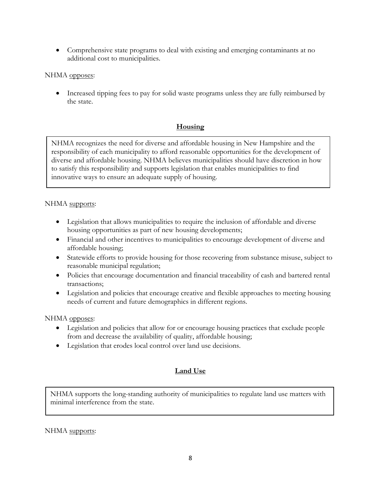• Comprehensive state programs to deal with existing and emerging contaminants at no additional cost to municipalities.

## NHMA opposes:

• Increased tipping fees to pay for solid waste programs unless they are fully reimbursed by the state.

# **Housing**

NHMA recognizes the need for diverse and affordable housing in New Hampshire and the responsibility of each municipality to afford reasonable opportunities for the development of diverse and affordable housing. NHMA believes municipalities should have discretion in how to satisfy this responsibility and supports legislation that enables municipalities to find innovative ways to ensure an adequate supply of housing.

## NHMA supports:

- Legislation that allows municipalities to require the inclusion of affordable and diverse housing opportunities as part of new housing developments;
- Financial and other incentives to municipalities to encourage development of diverse and affordable housing;
- Statewide efforts to provide housing for those recovering from substance misuse, subject to reasonable municipal regulation;
- Policies that encourage documentation and financial traceability of cash and bartered rental transactions;
- Legislation and policies that encourage creative and flexible approaches to meeting housing needs of current and future demographics in different regions.

## NHMA opposes:

- Legislation and policies that allow for or encourage housing practices that exclude people from and decrease the availability of quality, affordable housing;
- Legislation that erodes local control over land use decisions.

# **Land Use**

NHMA supports the long-standing authority of municipalities to regulate land use matters with minimal interference from the state.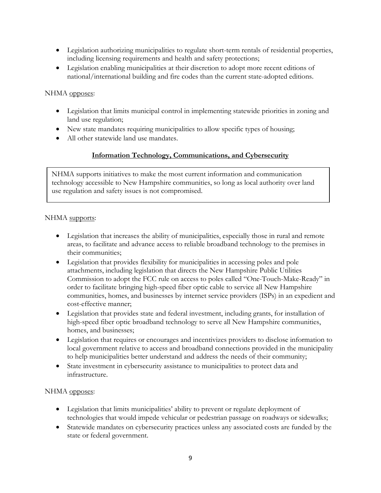- Legislation authorizing municipalities to regulate short-term rentals of residential properties, including licensing requirements and health and safety protections;
- Legislation enabling municipalities at their discretion to adopt more recent editions of national/international building and fire codes than the current state-adopted editions.

## NHMA opposes:

- Legislation that limits municipal control in implementing statewide priorities in zoning and land use regulation;
- New state mandates requiring municipalities to allow specific types of housing;
- All other statewide land use mandates.

# **Information Technology, Communications, and Cybersecurity**

NHMA supports initiatives to make the most current information and communication technology accessible to New Hampshire communities, so long as local authority over land use regulation and safety issues is not compromised.

## NHMA supports:

- Legislation that increases the ability of municipalities, especially those in rural and remote areas, to facilitate and advance access to reliable broadband technology to the premises in their communities;
- Legislation that provides flexibility for municipalities in accessing poles and pole attachments, including legislation that directs the New Hampshire Public Utilities Commission to adopt the FCC rule on access to poles called "One-Touch-Make-Ready" in order to facilitate bringing high-speed fiber optic cable to service all New Hampshire communities, homes, and businesses by internet service providers (ISPs) in an expedient and cost-effective manner;
- Legislation that provides state and federal investment, including grants, for installation of high-speed fiber optic broadband technology to serve all New Hampshire communities, homes, and businesses;
- Legislation that requires or encourages and incentivizes providers to disclose information to local government relative to access and broadband connections provided in the municipality to help municipalities better understand and address the needs of their community;
- State investment in cybersecurity assistance to municipalities to protect data and infrastructure.

## NHMA opposes:

- Legislation that limits municipalities' ability to prevent or regulate deployment of technologies that would impede vehicular or pedestrian passage on roadways or sidewalks;
- Statewide mandates on cybersecurity practices unless any associated costs are funded by the state or federal government.